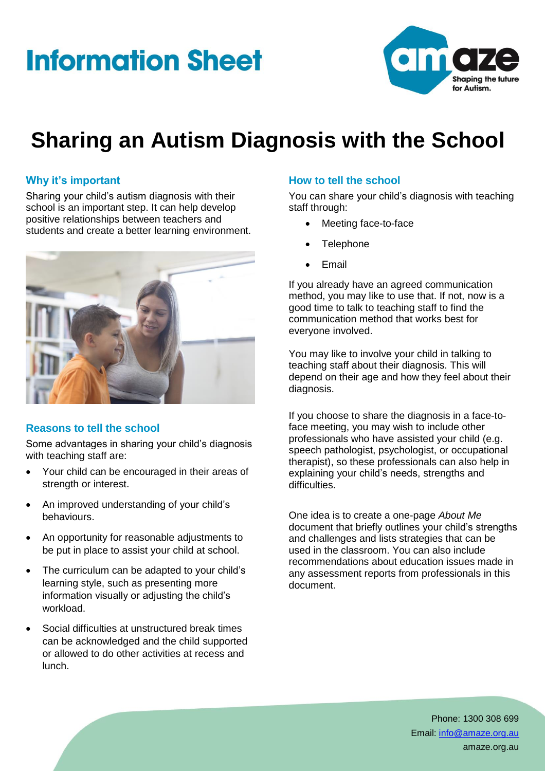# **Information Sheet**



## **Sharing an Autism Diagnosis with the School**

### **Why it's important**

Sharing your child's autism diagnosis with their school is an important step. It can help develop positive relationships between teachers and students and create a better learning environment.



### **Reasons to tell the school**

Some advantages in sharing your child's diagnosis with teaching staff are:

- Your child can be encouraged in their areas of strength or interest.
- An improved understanding of your child's behaviours.
- An opportunity for reasonable adjustments to be put in place to assist your child at school.
- The curriculum can be adapted to your child's learning style, such as presenting more information visually or adjusting the child's workload.
- Social difficulties at unstructured break times can be acknowledged and the child supported or allowed to do other activities at recess and lunch.

### **How to tell the school**

You can share your child's diagnosis with teaching staff through:

- Meeting face-to-face
- **Telephone**
- Email

If you already have an agreed communication method, you may like to use that. If not, now is a good time to talk to teaching staff to find the communication method that works best for everyone involved.

You may like to involve your child in talking to teaching staff about their diagnosis. This will depend on their age and how they feel about their diagnosis.

If you choose to share the diagnosis in a face-toface meeting, you may wish to include other professionals who have assisted your child (e.g. speech pathologist, psychologist, or occupational therapist), so these professionals can also help in explaining your child's needs, strengths and difficulties.

One idea is to create a one-page *About Me* document that briefly outlines your child's strengths and challenges and lists strategies that can be used in the classroom. You can also include recommendations about education issues made in any assessment reports from professionals in this document.

> Phone: 1300 308 699 Email: [info@amaze.org.au](mailto:info@amaze.org.au) amaze.org.au